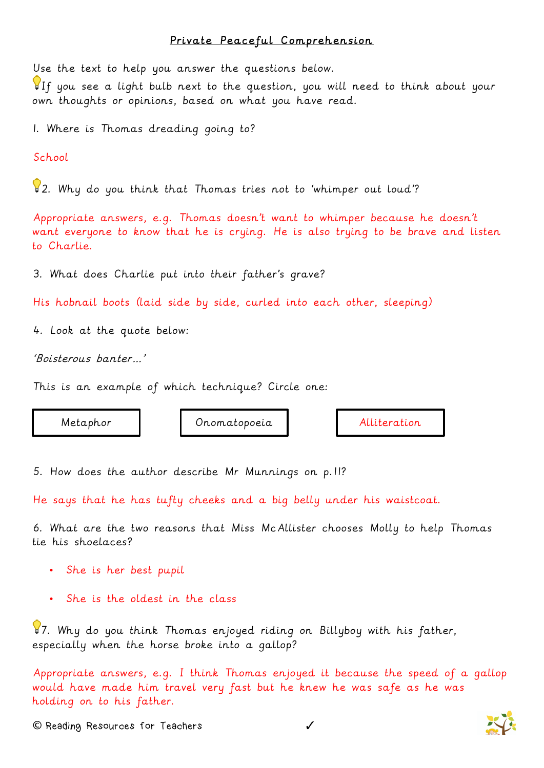## Private Peaceful Comprehension

Use the text to help you answer the questions below.

If you see a light bulb next to the question, you will need to think about your own thoughts or opinions, based on what you have read.

1. Where is Thomas dreading going to?

School

 $\sqrt{2}$ . Why do you think that Thomas tries not to 'whimper out loud'?

Appropriate answers, e.g. Thomas doesn't want to whimper because he doesn't want everyone to know that he is crying. He is also trying to be brave and listen to Charlie.

3. What does Charlie put into their father's grave?

His hobnail boots (laid side by side, curled into each other, sleeping)

4. Look at the quote below:

'Boisterous banter…'

This is an example of which technique? Circle one:

Metaphor Onomatopoeia Alliteration

5. How does the author describe Mr Munnings on p.11?

He says that he has tufty cheeks and a big belly under his waistcoat.

6. What are the two reasons that Miss McAllister chooses Molly to help Thomas tie his shoelaces?

- She is her best pupil
- She is the oldest in the class

 $\sqrt{37}$ . Why do you think Thomas enjoyed riding on Billyboy with his father, especially when the horse broke into a gallop?

Appropriate answers, e.g. I think Thomas enjoyed it because the speed of a gallop would have made him travel very fast but he knew he was safe as he was holding on to his father.